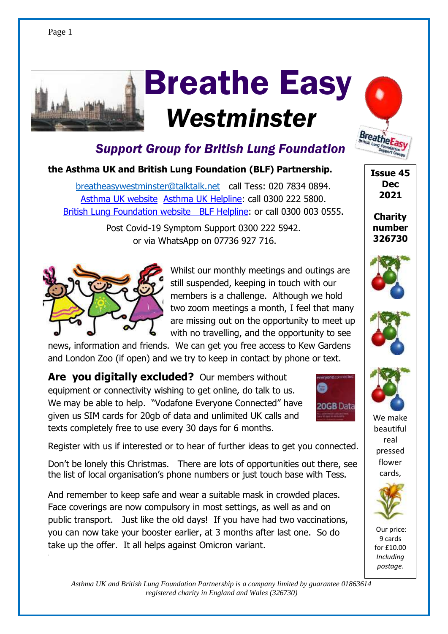# **arithmetic**  Breathe Easy  *Westminster*



### **the Asthma UK and British Lung Foundation (BLF) Partnership.**

[breatheasywestminster@talktalk.net](mailto:breatheasywestminster@talktalk.net) call Tess: 020 7834 0894.  **[Asthma UK website](http://asthma.org.uk/) [Asthma UK Helpline:](https://www.asthma.org.uk/advice/resources/helpline/) call 0300 222 5800.** [British Lung Foundation website](http://blf.org.uk/) [BLF Helpline:](https://www.blf.org.uk/support-for-you/helpline) or call 0300 003 0555.

> Post Covid-19 Symptom Support 0300 222 5942. or via WhatsApp on 07736 927 716.



.

Whilst our monthly meetings and outings are still suspended, keeping in touch with our members is a challenge. Although we hold two zoom meetings a month, I feel that many are missing out on the opportunity to meet up with no travelling, and the opportunity to see

news, information and friends. We can get you free access to Kew Gardens and London Zoo (if open) and we try to keep in contact by phone or text.

**Are vou digitally excluded?** Our members without equipment or connectivity wishing to get online, do talk to us. We may be able to help. "Vodafone Everyone Connected" have given us SIM cards for 20gb of data and unlimited UK calls and texts completely free to use every 30 days for 6 months.



Register with us if interested or to hear of further ideas to get you connected.

Don't be lonely this Christmas. There are lots of opportunities out there, see the list of local organisation's phone numbers or just touch base with Tess.

And remember to keep safe and wear a suitable mask in crowded places. Face coverings are now compulsory in most settings, as well as and on public transport. Just like the old days! If you have had two vaccinations, you can now take your booster earlier, at 3 months after last one. So do take up the offer. It all helps against Omicron variant.

Our price: 9 cards

for £10.00 *Including postage.*

*Asthma UK and British Lung Foundation Partnership is a company limited by guarantee 01863614 registered charity in England and Wales (326730)*

**Issue 45 Dec 1**

**Breathel** 

**Charity number** 







We make beautiful real pressed flower cards,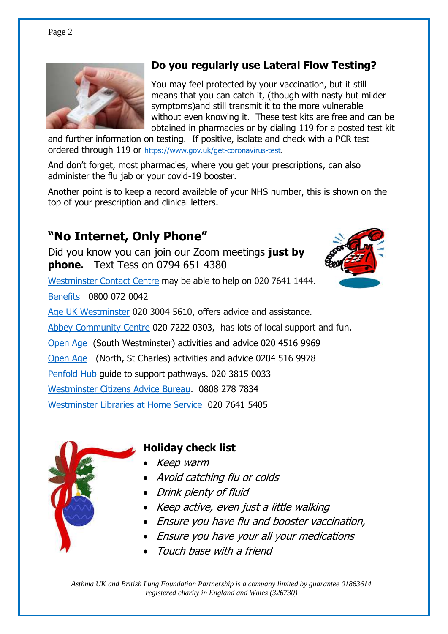

### **Do you regularly use Lateral Flow Testing?**

You may feel protected by your vaccination, but it still means that you can catch it, (though with nasty but milder symptoms)and still transmit it to the more vulnerable without even knowing it. These test kits are free and can be obtained in pharmacies or by dialing 119 for a posted test kit

and further information on testing. If positive, isolate and check with a PCR test ordered through 119 or [https://www.gov.uk/get-coronavirus-test.](https://www.gov.uk/get-coronavirus-test)

And don't forget, most pharmacies, where you get your prescriptions, can also administer the flu jab or your covid-19 booster.

Another point is to keep a record available of your NHS number, this is shown on the top of your prescription and clinical letters.

### **"No Internet, Only Phone"**

Did you know you can join our Zoom meetings **just by phone.** Text Tess on 0794 651 4380



[Westminster Contact Centre](https://www.westminster.gov.uk/about-council/contact-us) may be able to help on 020 7641 1444.

[Benefits](https://www.westminster.gov.uk/benefits) 0800 072 0042

[Age UK Westminster](https://www.ageuk.org.uk/westminster/) 020 3004 5610, offers advice and assistance.

[Abbey Community Centre](https://www.theabbeycentre.org.uk/community/) [020 7222 0303,](tel:02072220303) has lots of local support and fun.

[Open Age](https://www.openage.org.uk/south-westminster) (South Westminster) activities and advice 020 4516 9969

[Open Age](https://www.openage.org.uk/north-westminster) (North, St Charles) activities and advice 0204 516 9978

[Penfold Hub](https://www.nhg.org.uk/penfold/) guide to support pathways. 020 3815 0033

[Westminster Citizens Advice Bureau.](https://www.westminstercab.org.uk/) 0808 278 7834

[Westminster Libraries](https://us17.campaign-archive.com/?u=f3f2a91134cf0f85a3b2dbb34&id=37fafe4538) at Home Service 020 7641 5405



### **Holiday check list**

- Keep warm
- Avoid catching flu or colds
- Drink plenty of fluid
- Keep active, even just a little walking
- Ensure you have flu and booster vaccination,
- Ensure you have your all your medications
- Touch base with a friend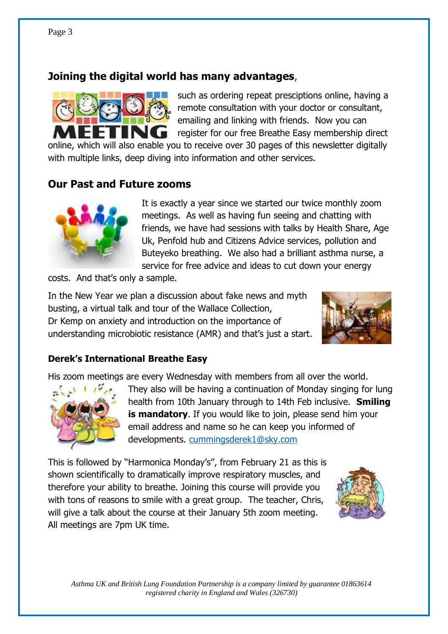### **Joining the digital world has many advantages**,



such as ordering repeat presciptions online, having a remote consultation with your doctor or consultant, emailing and linking with friends. Now you can register for our free Breathe Easy membership direct

online, which will also enable you to receive over 30 pages of this newsletter digitally with multiple links, deep diving into information and other services.

#### **Our Past and Future zooms**



It is exactly a year since we started our twice monthly zoom meetings. As well as having fun seeing and chatting with friends, we have had sessions with talks by Health Share, Age Uk, Penfold hub and Citizens Advice services, pollution and Buteyeko breathing. We also had a brilliant asthma nurse, a service for free advice and ideas to cut down your energy

costs. And that's only a sample.

In the New Year we plan a discussion about fake news and myth busting, a virtual talk and tour of the Wallace Collection, Dr Kemp on anxiety and introduction on the importance of understanding microbiotic resistance (AMR) and that's just a start.



#### **Derek's International Breathe Easy**

His zoom meetings are every Wednesday with members from all over the world.



They also will be having a continuation of Monday singing for lung health from 10th January through to 14th Feb inclusive. **Smiling is mandatory**. If you would like to join, please send him your email address and name so he can keep you informed of developments. [cummingsderek1@sky.com](mailto:cummingsderek1@sky.com)

This is followed by "Harmonica Monday's", from February 21 as this is shown scientifically to dramatically improve respiratory muscles, and therefore your ability to breathe. Joining this course will provide you with tons of reasons to smile with a great group. The teacher, Chris, will give a talk about the course at their January 5th zoom meeting. All meetings are 7pm UK time.

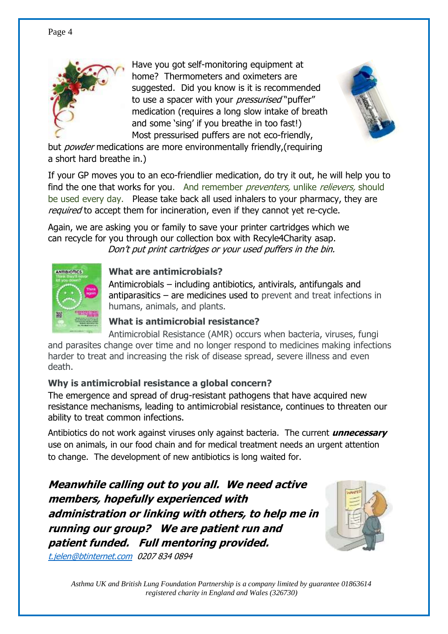

Have you got self-monitoring equipment at home? Thermometers and oximeters are suggested. Did you know is it is recommended to use a spacer with your *pressurised* "puffer" medication (requires a long slow intake of breath and some 'sing' if you breathe in too fast!) Most pressurised puffers are not eco-friendly,



but *powder* medications are more environmentally friendly, (requiring a short hard breathe in.)

If your GP moves you to an eco-friendlier medication, do try it out, he will help you to find the one that works for you. And remember preventers, unlike relievers, should be used every day. Please take back all used inhalers to your pharmacy, they are required to accept them for incineration, even if they cannot yet re-cycle.

Again, we are asking you or family to save your printer cartridges which we can recycle for you through our collection box with Recyle4Charity asap. Don't put print cartridges or your used puffers in the bin.



#### **What are antimicrobials?**

Antimicrobials – including antibiotics, antivirals, antifungals and antiparasitics – are medicines used to prevent and treat infections in humans, animals, and plants.

#### **What is antimicrobial resistance?**

Antimicrobial Resistance (AMR) occurs when bacteria, viruses, fungi and parasites change over time and no longer respond to medicines making infections harder to treat and increasing the risk of disease spread, severe illness and even death.

### **Why is antimicrobial resistance a global concern?**

The emergence and spread of drug-resistant pathogens that have acquired new resistance mechanisms, leading to antimicrobial resistance, continues to threaten our ability to treat common infections.

Antibiotics do not work against viruses only against bacteria. The current **unnecessary** use on animals, in our food chain and for medical treatment needs an urgent attention to change. The development of new antibiotics is long waited for.

**Meanwhile calling out to you all. We need active members, hopefully experienced with** administration or linking with others, to help me in **running our group? We are patient run and** patient funded. Full mentoring provided.

[t.jelen@btinternet.com](mailto:t.jelen@btinternet.com) 0207 834 0894

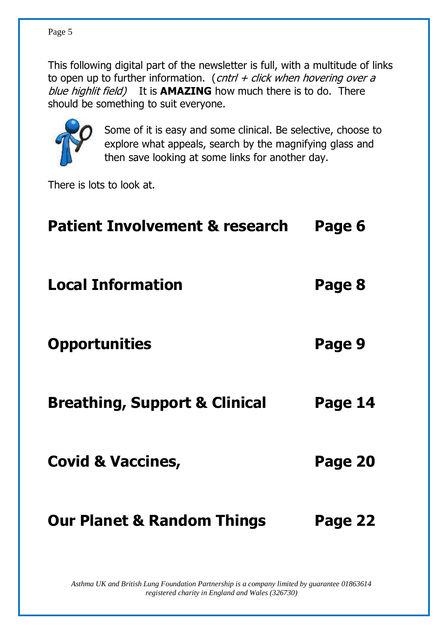This following digital part of the newsletter is full, with a multitude of links to open up to further information. (cntrl + click when hovering over a blue highlit field) It is **AMAZING** how much there is to do. There should be something to suit everyone.



Some of it is easy and some clinical. Be selective, choose to explore what appeals, search by the magnifying glass and then save looking at some links for another day.

There is lots to look at.

| <b>Patient Involvement &amp; research</b> | Page 6  |
|-------------------------------------------|---------|
| <b>Local Information</b>                  | Page 8  |
| <b>Opportunities</b>                      | Page 9  |
| <b>Breathing, Support &amp; Clinical</b>  | Page 14 |
| <b>Covid &amp; Vaccines,</b>              | Page 20 |
| <b>Our Planet &amp; Random Things</b>     | Page 22 |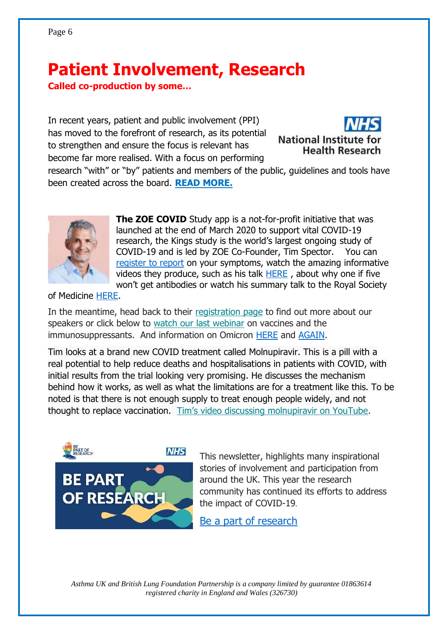# **Patient Involvement, Research**

**Called co-production by some...** 

In recent years, patient and public involvement (PPI) has moved to the forefront of research, as its potential to strengthen and ensure the focus is relevant has become far more realised. With a focus on performing



research "with" or "by" patients and members of the public, guidelines and tools have been created across the board. **[READ MORE.](https://nihr.us16.list-manage.com/track/click?u=8ac56a9ec9c9392935f5ffd3f&id=dc56976e6e&e=480f63b037)**



**The ZOE COVID** Study app is a not-for-profit initiative that was launched at the end of March 2020 to support vital COVID-19 research, the Kings study is the world's largest ongoing study of COVID-19 and is led by ZOE Co-Founder, Tim Spector. You can [register to report](https://covid.joinzoe.com/) on your symptoms, watch the amazing informative videos they produce, such as his talk [HERE](https://us13.campaign-archive.com/?u=48d605e2453cb0ad3892e077d&id=1ed107ecb5&e=863b631d55) , about why one if five won't get antibodies or watch his summary talk to the Royal Society

of Medicine [HERE.](https://www.youtube.com/watch?v=6kkO-xuGZMw)

In the meantime, head back to their [registration page](https://joinzoe.us13.list-manage.com/track/click?u=48d605e2453cb0ad3892e077d&id=153be25e87&e=863b631d55) to find out more about our speakers or click below to [watch our last webinar](https://joinzoe.us13.list-manage.com/track/click?u=48d605e2453cb0ad3892e077d&id=3502c63a2f&e=863b631d55) on vaccines and the immunosuppressants. And information on Omicron [HERE](https://joinzoe.com/learn/new-omicron-variant?utm_medium=email&utm_source=zoe_covid_study&utm_campaign=3_december_2021_GB%C2%A0) and [AGAIN.](https://www.youtube.com/watch?v=CsOG-6CfRgk)

Tim looks at a brand new COVID treatment called Molnupiravir. This is a pill with a real potential to help reduce deaths and hospitalisations in patients with COVID, with initial results from the trial looking very promising. He discusses the mechanism behind how it works, as well as what the limitations are for a treatment like this. To be noted is that there is not enough supply to treat enough people widely, and not thought to replace vaccination. [Tim's video discussing molnupiravir on YouTube](https://joinzoe.us13.list-manage.com/track/click?u=48d605e2453cb0ad3892e077d&id=e6a25a9116&e=863b631d55).



This newsletter, highlights many inspirational stories of involvement and participation from around the UK. This year the research community has continued its efforts to address the impact of COVID-19.

[Be a part of research](file:///C:/Users/Owner/Documents/Rehab%20&%20breatheasy/CHIMP%20newsletters/Be%20Part%20of%20Research%20(mailchi.mp))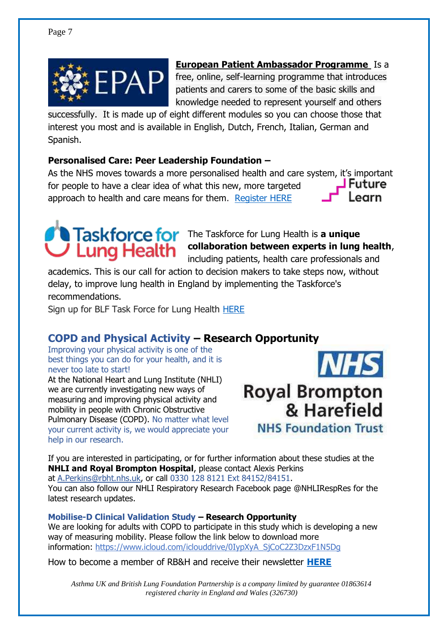

### **[European Patient Ambassador Programme](https://europeanlung.org/en/get-involved/european-patient-ambassador-programme-epap/)** Is a

free, online, self-learning programme that introduces patients and carers to some of the basic skills and knowledge needed to represent yourself and others

successfully. It is made up of eight different modules so you can choose those that interest you most and is available in English, Dutch, French, Italian, German and Spanish.

#### **Personalised Care: Peer Leadership Foundation –**

As the NHS moves towards a more personalised health and care system, it's important for people to have a clear idea of what this new, more targeted approach to health and care means for them. [Register HERE](https://www.futurelearn.com/info/courses/peer-leadership-foundation-step-1/0/steps/111995)



**Taskforce for** The Taskforce for Lung Health is a unique **collaboration between experts in lung health**, including patients, health care professionals and

academics. This is our call for action to decision makers to take steps now, without delay, to improve lung health in England by implementing the Taskforce's recommendations.

Sign up for BLF Task Force for Lung Health [HERE](https://hello.blf.org.uk/page/54527/subscribe/1?_ga=2.148835191.1940711418.1599553078-861334300.1581352237)

### **COPD and Physical Activity – Research Opportunity**

Improving your physical activity is one of the best things you can do for your health, and it is never too late to start!

At the National Heart and Lung Institute (NHLI) we are currently investigating new ways of measuring and improving physical activity and mobility in people with Chronic Obstructive Pulmonary Disease (COPD). No matter what level your current activity is, we would appreciate your help in our research.



**Royal Brompton** & Harefield **NHS Foundation Trust** 

If you are interested in participating, or for further information about these studies at the **NHLI and Royal Brompton Hospital**, please contact Alexis Perkins at [A.Perkins@rbht.nhs.uk,](mailto:A.Perkins@rbht.nhs.uk) or call 0330 128 8121 Ext 84152/84151. You can also follow our NHLI Respiratory Research Facebook page @NHLIRespRes for the latest research updates.

**Mobilise-D Clinical Validation Study – Research Opportunity** We are looking for adults with COPD to participate in this study which is developing a new way of measuring mobility. Please follow the link below to download more information: [https://www.icloud.com/iclouddrive/0IypXyA\\_SjCoC2Z3DzxF1N5Dg](https://www.icloud.com/iclouddrive/0IypXyA_SjCoC2Z3DzxF1N5Dg)

How to become a member of RB&H and receive their newsletter **[HERE](https://www.rbht.nhs.uk/about-us/become-a-member/connect-newsletter)**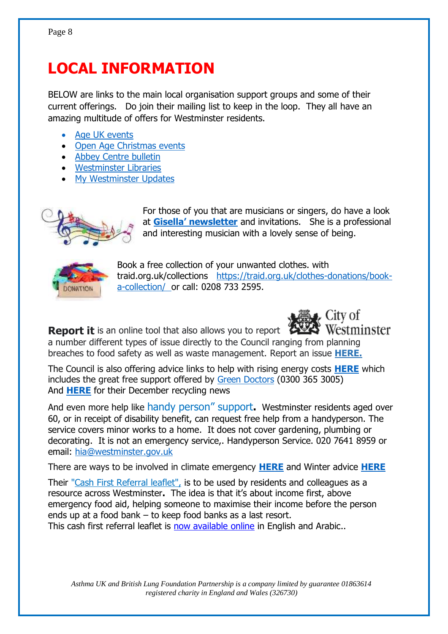# **LOCAL INFORMATION**

BELOW are links to the main local organisation support groups and some of their current offerings. Do join their mailing list to keep in the loop. They all have an amazing multitude of offers for Westminster residents. Ĭ

- Age UK events
- [Open Age Christmas events](file:///C:/Users/Owner/Documents/Rehab%20&%20breatheasy/CHIMP%20newsletters/•%09https:/mcusercontent.com/639172a06f0f84c7ab364a77e/files/3da45350-0948-ce61-415c-cbb884b58ef5/Christmas_2021_activities_programme.01.pdf)
- [Abbey Centre bulletin](https://mailchi.mp/29ed7e8cb640/abbey-centre-bulletin-14-december-10136514?e=3c98352454)
- [Westminster Libraries](https://mailchi.mp/westminster/your-westminster-library-news-events-13417090?e=48b9bac0d0)
- [My Westminster Updates](https://mailchi.mp/westminster.gov.uk/5nov2021-148130?e=81dde5b4cc)



For those of you that are musicians or singers, do have a look at Gisella' newsletter and invitations. She is a professional and interesting musician with a lovely sense of being.



Book a free collection of your unwanted clothes. with traid.org.uk/collections [https://traid.org.uk/clothes-donations/book](https://traid.org.uk/clothes-donations/book-a-collection/)[a-collection/](https://traid.org.uk/clothes-donations/book-a-collection/) or call: 0208 733 2595.



**Report it** is an online tool that also allows you to report a number different types of issue directly to the Council ranging from planning breaches to food safety as well as waste management. Report an issue **[HERE.](https://email.westminsterconservatives.com/54JR-FYJD-2DUVS6-BPHQ5-1/c.aspx)**

The Council is also offering advice links to help with rising energy costs **[HERE](http://www.westminster.gov.uk/help-and-support-rising-energy-costs)** which includes the great free support offered by [Green Doctors](https://london.greendoctors.org.uk/) (0300 365 3005) And **[HERE](https://mailchi.mp/westminster/winter-2021-recycling-news?e=2d228f32a3)** for their December recycling news

And even more help like handy person" support**.** Westminster residents aged over 60, or in receipt of disability benefit, can request free help from a handyperson. The service covers minor works to a home. It does not cover gardening, plumbing or decorating. It is not an emergency service,. Handyperson Service. 020 7641 8959 or email: [hia@westminster.gov.uk](mailto:hia@westminster.gov.uk)

There are ways to be involved in climate emergency **[HERE](file:///C:/Users/Owner/Documents/Rehab%20&%20breatheasy/CHIMP%20newsletters/Climate%20emergency%20|%20Westminster%20City%20Council)** and Winter advice **[HERE](Staying%20safe%20in%20Westminster%20this%20winter%20(mailchi.mp))**

Their ["Cash First Referral leaflet",](https://uploads.strikinglycdn.com/files/a0336b34-4157-4a84-940c-938d7491a487/Westminster%20Leaflet.pdf?id=3718307) is to be used by residents and colleagues as a resource across Westminster**.** The idea is that it's about income first, above emergency food aid, helping someone to maximise their income before the person ends up at a food bank – to keep food banks as a last resort. This cash first referral leaflet is [now available online](http://www.foodaidnetwork.org.uk/cash-first-leaflets) in English and Arabic..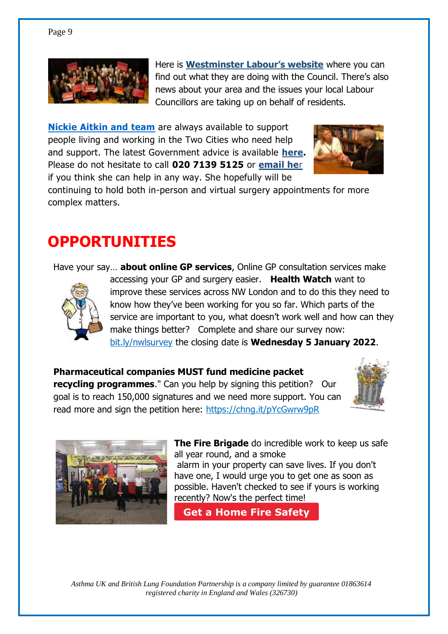

Here is **[Westminster](file:///C:/Users/Owner/Documents/Rehab%20&%20breatheasy/CHIMP%20newsletters/Homepage%20-%20Westminster%20Labour%20Councillors%20-%20Westminster%20Labour) Labour's website** where you can find out what they are doing with the Council. There's also news about your area and the issues your local Labour Councillors are taking up on behalf of residents.

**[Nickie Aitkin and team](https://news.nickieaiken.org.uk/54JR-GSQ5-FB5367B5EBD6029B2DUVS6416C01FE6399AEC6/cr.aspx)** are always available to support people living and working in the Two Cities who need help and support. The latest Government advice is available **[here.](https://news.nickieaiken.org.uk/54JR-GSQ5-2DUVS6-CF0VG-1/c.aspx)** Please do not hesitate to call **020 7139 5125** or **[email he](mailto:nickie.aiken.mp@parliament.uk)**r if you think she can help in any way. She hopefully will be



continuing to hold both in-person and virtual surgery appointments for more complex matters.

# **OPPORTUNITIES**

Have your say… **about online GP services**, Online GP consultation services make



accessing your GP and surgery easier. **Health Watch** want to improve these services across NW London and to do this they need to know how they've been working for you so far. Which parts of the service are important to you, what doesn't work well and how can they make things better? Complete and share our survey now: [bit.ly/nwlsurvey](https://secure.membra.co.uk/EmailTracker105/Link.ashx?id=6d269fc4-acb4-40c5-88e4-94ebb61f3459&c=231&m=P00003882&o=0&k=0D64DE0DxDD&u=https://healthwatchhillingdon.org.uk/OC) the closing date is **Wednesday 5 January 2022**.

**Pharmaceutical companies MUST fund medicine packet recycling programmes.**" Can you help by signing this petition? Our goal is to reach 150,000 signatures and we need more support. You can read more and sign the petition here:<https://chng.it/pYcGwrw9pR>





**The Fire Brigade** do incredible work to keep us safe all year round, and a smoke alarm in your property can save lives. If you don't have one, I would urge you to get one as soon as possible. Haven't checked to see if yours is working recently? Now's the perfect time!

**[Get a Home Fire Safety](https://news.nickieaiken.org.uk/54JR-GCU2-2DUVS6-C2DD8-1/c.aspx)  Visit**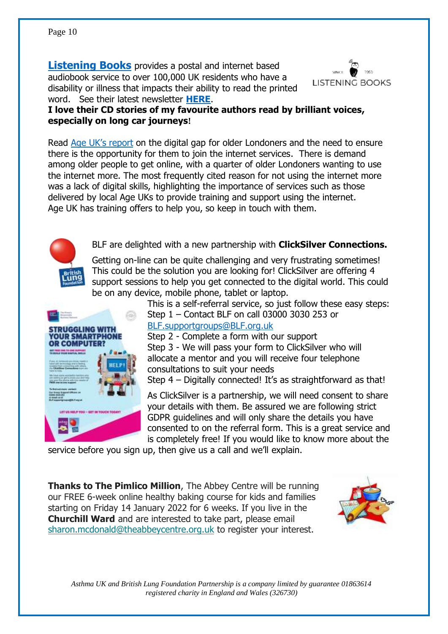**[Listening Books](https://www.listening-books.org.uk/)** provides a postal and internet based audiobook service to over 100,000 UK residents who have a disability or illness that impacts their ability to read the printed word. See their latest newsletter **[HERE](file:///C:/Users/Owner/Documents/Rehab%20&%20breatheasy/CHIMP%20newsletters/Don)**.

**I love their CD stories of my favourite authors read by brilliant voices, especially on long car journeys!**

Read [Age UK's report](mind-the-digital-gap-report.pdf%20(ageuk.org.uk) on the digital gap for older Londoners and the need to ensure there is the opportunity for them to join the internet services. There is demand among older people to get online, with a quarter of older Londoners wanting to use the internet more. The most frequently cited reason for not using the internet more was a lack of digital skills, highlighting the importance of services such as those delivered by local Age UKs to provide training and support using the internet. Age UK has training offers to help you, so keep in touch with them.

BLF are delighted with a new partnership with **ClickSilver Connections.**

Getting on-line can be quite challenging and very frustrating sometimes! This could be the solution you are looking for! ClickSilver are offering 4 support sessions to help you get connected to the digital world. This could be on any device, mobile phone, tablet or laptop.

This is a self-referral service, so just follow these easy steps: Step 1 – Contact BLF on call 03000 3030 253 or [BLF.supportgroups@BLF.org.uk](mailto:BLF.supportgroups@BLF.org.uk)

Step 2 - Complete a form with our support Step 3 - We will pass your form to ClickSilver who will allocate a mentor and you will receive four telephone consultations to suit your needs

Step 4 – Digitally connected! It's as straightforward as that!

As ClickSilver is a partnership, we will need consent to share your details with them. Be assured we are following strict GDPR guidelines and will only share the details you have consented to on the referral form. This is a great service and is completely free! If you would like to know more about the

service before you sign up, then give us a call and we'll explain.

**Thanks to The Pimlico Million**, The Abbey Centre will be running our FREE 6-week online healthy baking course for kids and families starting on Friday 14 January 2022 for 6 weeks. If you live in the **Churchill Ward** and are interested to take part, please email [sharon.mcdonald@theabbeycentre.org.uk](mailto:sharon.mcdonald@theabbeycentre.org.uk?subject=Healthy%20Baking%20for%20Kids%20%26%20Families) to register your interest.







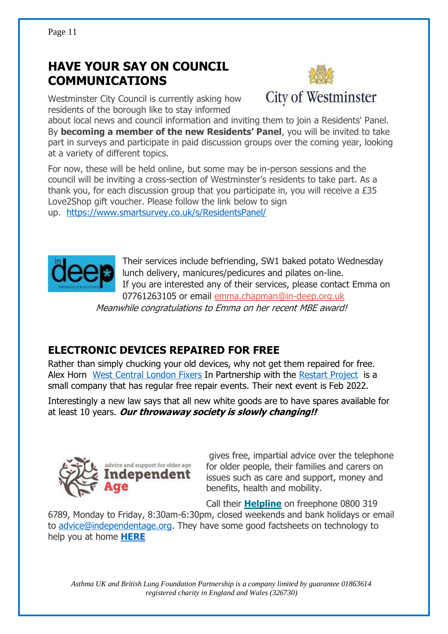## **HAVE YOUR SAY ON COUNCIL COMMUNICATIONS**



Westminster City Council is currently asking how residents of the borough like to stay informed

about local news and council information and inviting them to join a Residents' Panel. By **becoming a member of the new Residents' Panel**, you will be invited to take part in surveys and participate in paid discussion groups over the coming year, looking at a variety of different topics.

For now, these will be held online, but some may be in-person sessions and the council will be inviting a cross-section of Westminster's residents to take part. As a thank you, for each discussion group that you participate in, you will receive a £35 Love2Shop gift voucher. Please follow the link below to sign up. <https://www.smartsurvey.co.uk/s/ResidentsPanel/>



Their services include befriending, SW1 baked potato Wednesday lunch delivery, manicures/pedicures and pilates on-line. If you are interested any of their services, please contact Emma on 07761263105 or email [emma.chapman@in-deep.org.uk](mailto:emma.chapman@in-deep.org.uk) 

Meanwhile congratulations to Emma on her recent MBE award!

### **ELECTRONIC DEVICES REPAIRED FOR FREE**

Rather than simply chucking your old devices, why not get them repaired for free. Alex Horn [West Central London Fixers](https://west-central-london-fixers.business.site/) In Partnership with the [Restart Project](https://therestartproject.org/) is a small company that has regular free repair events. Their next event is Feb 2022.

Interestingly a new law says that all new white goods are to have spares available for at least 10 years. **Our throwaway society is slowly changing!!** 



gives free, impartial advice over the telephone for older people, their families and carers on issues such as care and support, money and benefits, health and mobility.

Call their **[Helpline](https://www.independentage.org/get-support/call-helpline)** on freephone 0800 319

6789, Monday to Friday, 8:30am-6:30pm, closed weekends and bank holidays or email to [advice@independentage.org.](mailto:advice@independentage.org) They have some good factsheets on technology to help you at home **[HERE](https://www.independentage.org/get-advice/advice-guides-factsheets-leaflets/technology-to-help-you-at-home)**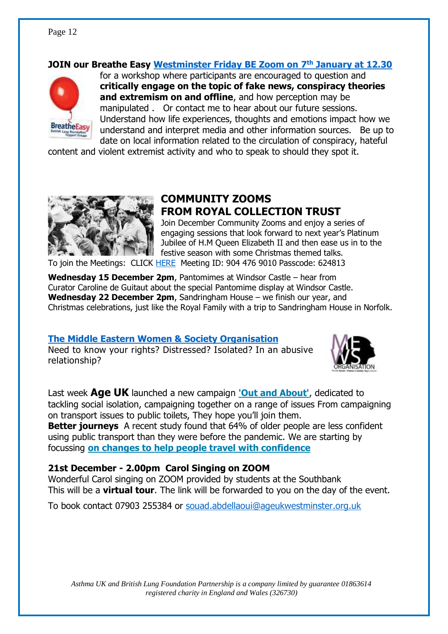#### Page 12

#### **JOIN our Breathe Easy [Westminster Friday BE Zoom on 7](https://zoom.us/j/98947710113)th January at 12.30**



for a workshop where participants are encouraged to question and **critically engage on the topic of fake news, conspiracy theories and extremism on and offline**, and how perception may be manipulated . Or contact me to hear about our future sessions. Understand how life experiences, thoughts and emotions impact how we understand and interpret media and other information sources. Be up to date on local information related to the circulation of conspiracy, hateful

content and violent extremist activity and who to speak to should they spot it.



### **COMMUNITY ZOOMS FROM ROYAL COLLECTION TRUST**

Join December Community Zooms and enjoy a series of engaging sessions that look forward to next year's Platinum Jubilee of H.M Queen Elizabeth II and then ease us in to the festive season with some Christmas themed talks.

To join the Meetings: CLICK [HERE](https://zoom.us/j/9044769010?pwd=ZmwwdVZKdjFMVnNJWlMvbXRzOUpSdz09) Meeting ID: 904 476 9010 Passcode: 624813

**Wednesday 15 December 2pm**, Pantomimes at Windsor Castle – hear from Curator Caroline de Guitaut about the special Pantomime display at Windsor Castle. **Wednesday 22 December 2pm**, Sandringham House – we finish our year, and Christmas celebrations, just like the Royal Family with a trip to Sandringham House in Norfolk.

#### **The Middle Eastern Women & Society [Organisation](https://www.mewso.org/)**

Need to know your rights? Distressed? Isolated? In an abusive relationship?



Last week **Age UK** launched a new campaign **['Out and About'](https://technology-trust-news.org/47X-7LOE9-U2XWMS-4LYOIH-1/c.aspx)**, dedicated to tackling social isolation, campaigning together on a range of issues From campaigning on transport issues to public toilets, They hope you'll join them.

**Better journeys** A recent study found that 64% of older people are less confident using public transport than they were before the pandemic. We are starting by focussing **[on changes to help people travel with confidence](https://technology-trust-news.org/47X-7L5P6-U2XWMS-4LLGG6-1/c.aspx)**

#### **21st December - 2.00pm Carol Singing on ZOOM**

Wonderful Carol singing on ZOOM provided by students at the Southbank This will be a **virtual tour**. The link will be forwarded to you on the day of the event.

To book contact 07903 255384 or [souad.abdellaoui@ageukwestminster.org.uk](mailto:souad.abdellaoui@ageukwestminster.org.uk)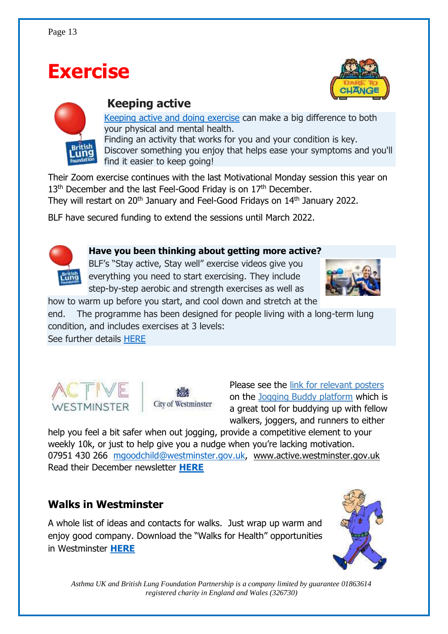# **Exercise**





### **Keeping active**

[Keeping active and doing exercise](https://www.blf.org.uk/support-for-you/keep-active) can make a big difference to both your physical and mental health. Finding an activity that works for you and your condition is key. Discover something you enjoy that helps ease your symptoms and you'll find it easier to keep going!

Their Zoom exercise continues with the last Motivational Monday session this year on 13<sup>th</sup> December and the last Feel-Good Friday is on 17<sup>th</sup> December.

They will restart on 20<sup>th</sup> January and Feel-Good Fridays on 14<sup>th</sup> January 2022.

BLF have secured funding to extend the sessions until March 2022.



#### **Have you been thinking about getting more active?**

BLF's "Stay active, Stay well" exercise videos give you everything you need to start exercising. They include step-by-step aerobic and strength exercises as well as



how to warm up before you start, and cool down and stretch at the

end. The programme has been designed for people living with a long-term lung condition, and includes exercises at 3 levels:

See further details [HERE](http://e-activist.com/page/email/click/1744/5495821?email=E96XEVo9tLQjfDr%2Fhudsfpku6OPFCMj%2F&campid=bYNddvgx5C%2Bha0eWUOvjsw==)





Please see the [link for relevant posters](https://drive.google.com/drive/folders/1lYtLSg4ijWUQjKlmLJJfHgNXYWEgsL8C?usp=sharing) on the [Jogging Buddy platform](http://joggingbuddy.com/) which is a great tool for buddying up with fellow walkers, joggers, and runners to either

help you feel a bit safer when out jogging, provide a competitive element to your weekly 10k, or just to help give you a nudge when you're lacking motivation. 07951 430 266 [mgoodchild@westminster.gov.uk,](mailto:mgoodchild@westminster.gov.uk) www.active.westminster.gov.uk Read their December newsletter **[HERE](https://mailchi.mp/23565dd7d573/nominations-are-now-open-for-the-activewestminster-awards-148614?e=81dde5b4cc)**

### **Walks in Westminster**

A whole list of ideas and contacts for walks. Just wrap up warm and enjoy good company. Download the "Walks for Health" opportunities in Westminster **[HERE](https://view.officeapps.live.com/op/view.aspx?src=https%3A%2F%2Fwww.walkingforhealth.org.uk%2Fsites%2Fdefault%2Ffiles%2FWestminster%2520Walk%2520Programme.doc&wdOrigin=BROWSELINK)**

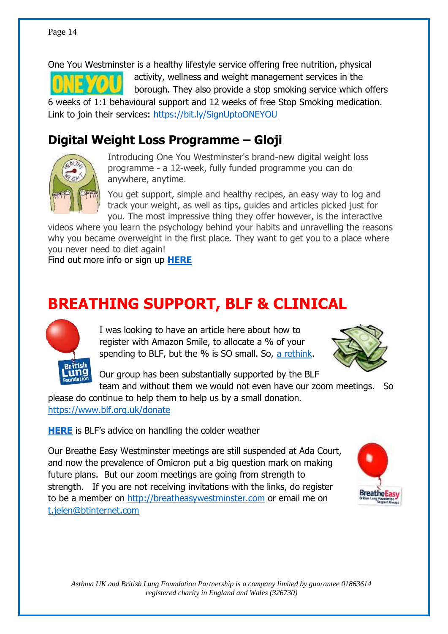One You Westminster is a healthy lifestyle service offering free nutrition, physical activity, wellness and weight management services in the borough. They also provide a stop smoking service which offers 6 weeks of 1:1 behavioural support and 12 weeks of free Stop Smoking medication. Link to join their services: <https://bit.ly/SignUptoONEYOU>

### **Digital Weight Loss Programme – Gloji**



Introducing One You Westminster's brand-new digital weight loss programme - a 12-week, fully funded programme you can do anywhere, anytime.

You get support, simple and healthy recipes, an easy way to log and track your weight, as well as tips, guides and articles picked just for you. The most impressive thing they offer however, is the interactive

videos where you learn the psychology behind your habits and unravelling the reasons why you became overweight in the first place. They want to get you to a place where you never need to diet again!

Find out more info or sign up **[HERE](https://www.gloji.co.uk/?utm_source=active_westminster&utm_medium=newsletter&utm_campaign=oyw)** 

# **BREATHING SUPPORT, BLF & CLINICAL**



I was looking to have an article here about how to register with Amazon Smile, to allocate a % of your spending to BLF, but the % is SO small. So, [a rethink.](Amazon%20may%20seem%20like%20Santa%20but%20it)



Our group has been substantially supported by the BLF team and without them we would not even have our zoom meetings. So

please do continue to help them to help us by a small donation. <https://www.blf.org.uk/donate>

**[HERE](https://www.blf.org.uk/support-for-you/cold-weather)** is BLF's advice on handling the colder weather

Our Breathe Easy Westminster meetings are still suspended at Ada Court, and now the prevalence of Omicron put a big question mark on making future plans. But our zoom meetings are going from strength to strength. If you are not receiving invitations with the links, do register to be a member on [http://breatheasywestminster.com](http://breatheasywestminster.com/) or email me on [t.jelen@btinternet.com](mailto:t.jelen@btinternet.com)

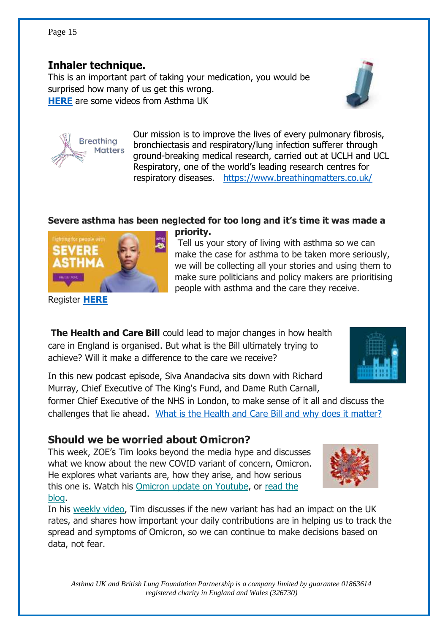### **Inhaler technique.**

**Breathing** Matters

This is an important part of taking your medication, you would be surprised how many of us get this wrong. **[HERE](https://www.asthma.ie/about-asthma/resources/inhaler-technique-videos)** are some videos from Asthma UK

> Our mission is to improve the lives of every pulmonary fibrosis, bronchiectasis and respiratory/lung infection sufferer through ground-breaking medical research, carried out at UCLH and UCL Respiratory, one of the world's leading research centres for respiratory diseases. <https://www.breathingmatters.co.uk/>

### Severe asthma has been neglected for too long and it's time it was made a

Tell us your story of living with asthma so we can make the case for asthma to be taken more seriously, we will be collecting all your stories and using them to make sure politicians and policy makers are prioritising people with asthma and the care they receive.

Register **[HERE](https://action.asthma.org.uk/page/94552/data/1)**

**The Health and Care Bill** could lead to major changes in how health care in England is organised. But what is the Bill ultimately trying to achieve? Will it make a difference to the care we receive?

In this new podcast episode, Siva Anandaciva sits down with Richard Murray, Chief Executive of The King's Fund, and Dame Ruth Carnall,

former Chief Executive of the NHS in London, to make sense of it all and discuss the challenges that lie ahead. [What is the Health and Care Bill and why does it matter?](https://www.kingsfund.org.uk/audio-video/podcast/what-health-and-care-bill-why-does-it-matter?utm_source=direct&utm_medium=email&utm_campaign=12842515_MKPUB_podcast+episode+H%26C+Bill+2021-12-01&utm_content=podcast_button) 

### **Should we be worried about Omicron?**

This week, ZOE's Tim looks beyond the media hype and discusses what we know about the new COVID variant of concern, Omicron. He explores what variants are, how they arise, and how serious this one is. Watch his [Omicron update on Youtube,](https://joinzoe.us13.list-manage.com/track/click?u=48d605e2453cb0ad3892e077d&id=8ec2ccd047&e=863b631d55) or [read the](https://joinzoe.us13.list-manage.com/track/click?u=48d605e2453cb0ad3892e077d&id=bfe0f0ebd7&e=863b631d55)  [blog.](https://joinzoe.us13.list-manage.com/track/click?u=48d605e2453cb0ad3892e077d&id=bfe0f0ebd7&e=863b631d55)

In his [weekly video,](https://joinzoe.us13.list-manage.com/track/click?u=48d605e2453cb0ad3892e077d&id=fc6c375aa3&e=863b631d55) Tim discusses if the new variant has had an impact on the UK rates, and shares how important your daily contributions are in helping us to track the spread and symptoms of Omicron, so we can continue to make decisions based on data, not fear.

**priority.**







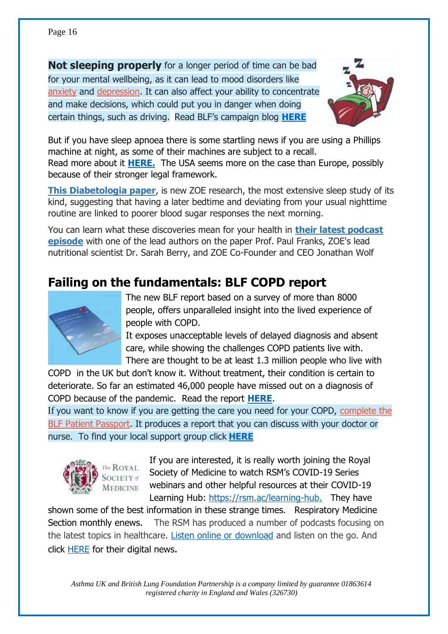**Not sleeping properly** for a longer period of time can be bad for your mental wellbeing, as it can lead to mood disorders like [anxiety](https://www.blf.org.uk/support-for-you/dealing-with-your-mental-health/anxiety) and [depression.](https://www.blf.org.uk/support-for-you/dealing-with-your-mental-health/depression) It can also affect your ability to concentrate and make decisions, which could put you in danger when doing certain things, such as driving. Read BLF's campaign blog **[HERE](https://blog.blf.org.uk/blog/are-you-getting-enough-sleep?utm_medium=email&utm_source=engagingnetworks&utm_campaign=blf+sleep+advice&utm_content=Health+advice+-+general+sleep+-+quick+tips+-+impact+boiler)**



But if you have sleep apnoea there is some startling news if you are using a Phillips machine at night, as some of their machines are subject to a recall. Read more about it **[HERE.](https://www.fda.gov/medical-devices/safety-communications/certain-philips-respironics-ventilators-bipap-and-cpap-machines-recalled-due-potential-health-risks)** The USA seems more on the case than Europe, possibly because of their stronger legal framework.

**[This Diabetologia paper](https://joinzoe.us13.list-manage.com/track/click?u=48d605e2453cb0ad3892e077d&id=aae292c89d&e=863b631d55)**, is new ZOE research, the most extensive sleep study of its kind, suggesting that having a later bedtime and deviating from your usual nighttime routine are linked to poorer blood sugar responses the next morning.

You can learn what these discoveries mean for your health in **their [latest podcast](https://joinzoe.us13.list-manage.com/track/click?u=48d605e2453cb0ad3892e077d&id=caded6b2b0&e=863b631d55)  [episode](https://joinzoe.us13.list-manage.com/track/click?u=48d605e2453cb0ad3892e077d&id=caded6b2b0&e=863b631d55)** with one of the lead authors on the paper Prof. Paul Franks, ZOE's lead nutritional scientist Dr. Sarah Berry, and ZOE Co-Founder and CEO Jonathan Wolf

### **Failing on the fundamentals: BLF COPD report**



The new BLF report based on a survey of more than 8000 people, offers unparalleled insight into the lived experience of people with COPD.

It exposes unacceptable levels of delayed diagnosis and absent care, while showing the challenges COPD patients live with. There are thought to be at least 1.3 million people who live with

COPD in the UK but don't know it. Without treatment, their condition is certain to deteriorate. So far an estimated 46,000 people have missed out on a diagnosis of COPD because of the pandemic. Read the report **[HERE](https://www.blf.org.uk/support-for-you/copd/world-copd-day/failing-on-the-fundamentals-our-copd-report)**.

If you want to know if you are getting the care you need for your COPD, [complete the](https://passport.blf.org.uk/)  [BLF Patient Passport.](https://passport.blf.org.uk/) It produces a report that you can discuss with your doctor or nurse. To find your local support group click **[HERE](https://www.blf.org.uk/support-for-you/breathe-easy)**



If you are interested, it is really worth joining the Royal Society of Medicine to watch RSM's COVID-19 Series webinars and other helpful resources at their COVID-19 Learning Hub: [https://rsm.ac/learning-hub.](https://rsm.ac/learning-hub) They have

shown some of the best information in these strange times. Respiratory Medicine Section monthly enews. The RSM has produced a number of podcasts focusing on the latest topics in healthcare. [Listen online or download](https://www.rsm.ac.uk/resources/podcasts/?_cldee=dC5qZWxlbkBidGludGVybmV0LmNvbQ%3d%3d&recipientid=contact-1c07f35418b2ea11a812000d3a86ad25-f02cecfb0d1a43d88bc8823c27a814dd&utm_source=ClickDimensions&utm_medium=email&utm_campaign=RMenews&esid=8a6c3c89-8452-ec11-8f8e-000d3a0cd901) and listen on the go. And click [HERE](file:///C:/Users/Owner/Documents/Rehab%20&%20breatheasy/CHIMP%20newsletters/Respiratory%20Medicine%20Section%20monthly%20enews%20(clickdimensions.com)) for their digital news.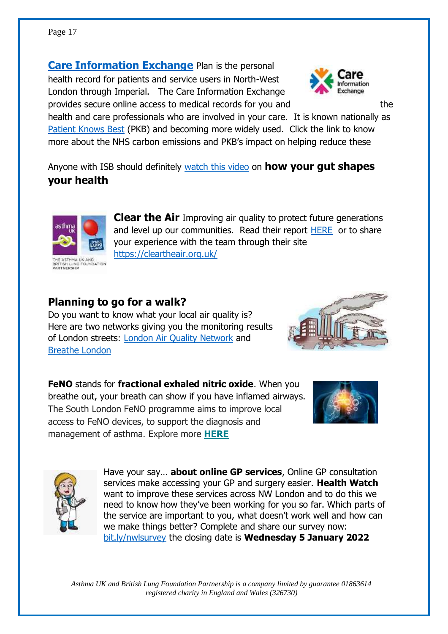#### Page 17

**[Care Information Exchange](https://www.careinformationexchange-nwl.nhs.uk/)** Plan is the personal health record for patients and service users in North-West London through Imperial. The Care Information Exchange provides secure online access to medical records for you and the



health and care professionals who are involved in your care. It is known nationally as [Patient Knows Best](https://patientsknowbest.com/green/) (PKB) and becoming more widely used. Click the link to know more about the NHS carbon emissions and PKB's impact on helping reduce these

Anyone with ISB should definitely [watch this video](https://www.youtube.com/watch?v=ve88R0jeJ64) on **how your gut shapes your health**



HE ASTHMA UK AND<br>RITISH LUNG FOUNDATION<br>ARTNERSHIP

**Clear the Air** Improving air quality to protect future generations and level up our communities. Read their report [HERE](https://www.blf.org.uk/sites/default/files/Clear_the_air_report_v2.pdf) or to share your experience with the team through their site <https://cleartheair.org.uk/>

### **Planning to go for a walk?**

Do you want to know what your local air quality is? Here are two networks giving you the monitoring results of London streets: [London Air Quality Network](London%20Air%20Quality%20Network) and [Breathe London](https://www.breathelondon.org/)



**FeNO** stands for **fractional exhaled nitric oxide**. When you breathe out, your breath can show if you have inflamed airways. The South London FeNO programme aims to improve local access to FeNO devices, to support the diagnosis and management of asthma. Explore more **[HERE](https://hin-southlondon.us7.list-manage.com/track/click?u=da8da3a6cd774e2f0485c7da0&id=3e94ba7b26&e=4a47db09f9)**





Have your say… **about online GP services**, Online GP consultation services make accessing your GP and surgery easier. **Health Watch** want to improve these services across NW London and to do this we need to know how they've been working for you so far. Which parts of the service are important to you, what doesn't work well and how can we make things better? Complete and share our survey now: [bit.ly/nwlsurvey](https://secure.membra.co.uk/EmailTracker105/Link.ashx?id=6d269fc4-acb4-40c5-88e4-94ebb61f3459&c=231&m=P00003882&o=0&k=0D64DE0DxDD&u=https://healthwatchhillingdon.org.uk/OC) the closing date is **Wednesday 5 January 2022**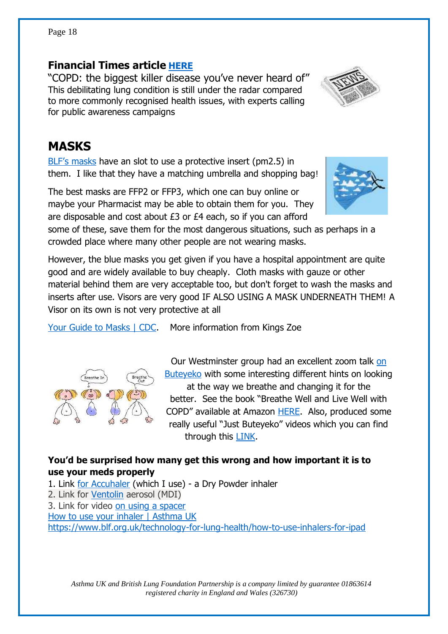#### Page 18

#### **Financial Times article [HERE](his%20debilitating%20lung%20condition%20is%20still%20under%20the%20radar%20compared%20to%20more%20commonly%20recognised%20health%20issues,%20with%20experts%20calling%20for%20public%20awareness%20campaigns)**

"COPD: the biggest killer disease you've never heard of" This debilitating lung condition is still under the radar compared to more commonly recognised health issues, with experts calling for public awareness campaigns

### **MASKS**

[BLF's masks](https://shop.auk-blf.org.uk/collections/new-shop-health-wellbeing) have an slot to use a protective insert (pm2.5) in them. I like that they have a matching umbrella and shopping bag!

The best masks are FFP2 or FFP3, which one can buy online or maybe your Pharmacist may be able to obtain them for you. They are disposable and cost about £3 or £4 each, so if you can afford

some of these, save them for the most dangerous situations, such as perhaps in a crowded place where many other people are not wearing masks.

However, the blue masks you get given if you have a hospital appointment are quite good and are widely available to buy cheaply. Cloth masks with gauze or other material behind them are very acceptable too, but don't forget to wash the masks and inserts after use. Visors are very good IF ALSO USING A MASK UNDERNEATH THEM! A Visor on its own is not very protective at all

[Your Guide to Masks | CDC.](https://www.cdc.gov/coronavirus/2019-ncov/prevent-getting-sick/about-face-coverings.html) More information from Kings Zoe

at the way we breathe and changing it for the better. See the book "Breathe Well and Live Well with COPD" available at Amazon [HERE.](https://www.amazon.co.uk/Breathe-Well-Live-COPD-Breathing/dp/1848191642/ref=asc_df_1848191642/?tag=googshopuk-21&linkCode=df0&hvadid=310805565966&hvpos=&hvnetw=g&hvrand=5409094704878892823&hvpone=&hvptwo=&hvqmt=&hvdev=c&hvdvcmdl=&hvlocint=&hvlocphy=1006886&hvtargid=pla-564443524944&psc=1&th=1&psc=1) Also, produced some really useful "Just Buteyeko" videos which you can find through this [LINK.](https://www.youtube.com/channel/UCopX9emwUn3uzzEm1PuhDYQ)

Our Westminster group had an excellent zoom talk [on](https://www.buteyko.co.uk/history-of-buteyko/)  [Buteyeko](https://www.buteyko.co.uk/history-of-buteyko/) with some interesting different hints on looking

#### You'd be surprised how many get this wrong and how important it is to **use your meds properly**

1. Link [for Accuhaler](https://www.asthma.org.uk/advice/inhaler-videos/accuhaler/) (which I use) - a Dry Powder inhaler 2. Link for [Ventolin](https://www.asthma.org.uk/advice/inhaler-videos/pmdi/) aerosol (MDI) 3. Link for video [on using a spacer](https://www.asthma.org.uk/advice/inhaler-videos/tidal-breathing/)  [How to use your inhaler | Asthma UK](file:///C:/Users/Owner/Documents/Rehab%20&%20breatheasy/CHIMP%20newsletters/How%20to%20use%20your%20inhaler%20|%20Asthma%20UK)  <https://www.blf.org.uk/technology-for-lung-health/how-to-use-inhalers-for-ipad>







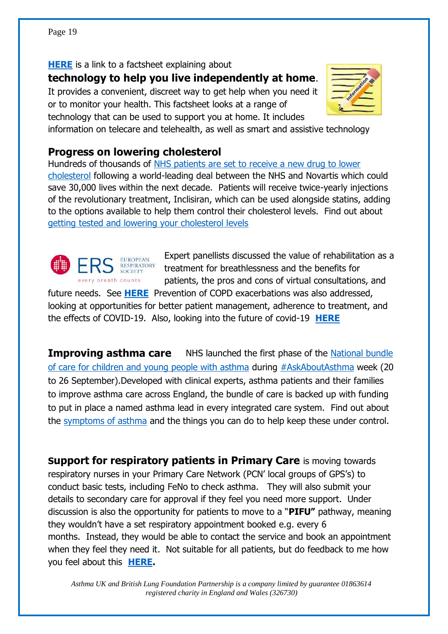**[HERE](https://independent-age-assets.s3.eu-west-1.amazonaws.com/s3fs-public/factsheets/2021-06/Factsheet-Technology-to-help-you-at-home_0.pdf?VersionId=vHrRFmcgm2BLBPtp0XrJgdLw_fbALuh1)** is a link to a factsheet explaining about

**technology to help you live independently at home**.

It provides a convenient, discreet way to get help when you need it or to monitor your health. This factsheet looks at a range of

technology that can be used to support you at home. It includes



information on telecare and telehealth, as well as smart and assistive technology

### **Progress on lowering cholesterol**

Hundreds of thousands of [NHS patients are set to receive a new drug to lower](https://intouch.cmail19.com/t/d-l-aykqjl-puiulyujh-g/)  [cholesterol](https://intouch.cmail19.com/t/d-l-aykqjl-puiulyujh-g/) following a world-leading deal between the NHS and Novartis which could save 30,000 lives within the next decade. Patients will receive twice-yearly injections of the revolutionary treatment, Inclisiran, which can be used alongside statins, adding to the options available to help them control their cholesterol levels. Find out about [getting tested and lowering your cholesterol levels](https://intouch.cmail19.com/t/d-l-aykqjl-puiulyujh-w/)



Expert panellists discussed the value of rehabilitation as a treatment for breathlessness and the benefits for patients, the pros and cons of virtual consultations, and

future needs. See **[HERE](https://www.ersnet.org/ers-respiratory-channel/vision-treating-copd-smarter/)** Prevention of COPD exacerbations was also addressed, looking at opportunities for better patient management, adherence to treatment, and the effects of COVID-19. Also, looking into the future of covid-19 **[HERE](Panel%20discussion:%20COVID-19%20–%20Looking%20into%20the%20Future%20(ers-education.org))**

**Improving asthma care** NHS launched the first phase of the National bundle [of care for children and young people with asthma](https://intouch.cmail19.com/t/d-l-aykqjl-puiulyujh-yh/) during [#AskAboutAsthma](https://intouch.cmail19.com/t/d-l-aykqjl-puiulyujh-yk/) week (20 to 26 September).Developed with clinical experts, asthma patients and their families to improve asthma care across England, the bundle of care is backed up with funding to put in place a named asthma lead in every integrated care system. Find out about the [symptoms of asthma](https://intouch.cmail19.com/t/d-l-aykqjl-puiulyujh-yu/) and the things you can do to help keep these under control.

**Support for respiratory patients in Primary Care** is moving towards respiratory nurses in your Primary Care Network (PCN' local groups of GPS's) to conduct basic tests, including FeNo to check asthma. They will also submit your details to secondary care for approval if they feel you need more support. Under discussion is also the opportunity for patients to move to a "**PIFU"** pathway, meaning they wouldn't have a set respiratory appointment booked e.g. every 6 months. Instead, they would be able to contact the service and book an appointment when they feel they need it. Not suitable for all patients, but do feedback to me how you feel about this **[HERE.](mailto:t.jelen@btinternet.com)**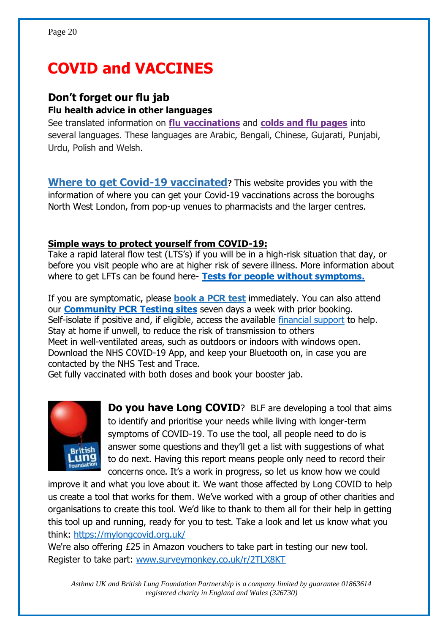# **COVID and VACCINES**

#### **Don't forget our flu jab Flu health advice in other languages**

See translated information on **[flu vaccinations](http://e-activist.com/page/email/click/2147/5664765?email=8YyI%2BciSekAW5pKRXQaAKHF2ULq7h1gi&campid=ohuIW8GXBedkwMmtusGc0w==)** and **[colds and flu pages](http://e-activist.com/page/email/click/2147/5664766?email=8YyI%2BciSekAW5pKRXQaAKHF2ULq7h1gi&campid=ohuIW8GXBedkwMmtusGc0w==)** into several languages. These languages are Arabic, Bengali, Chinese, Gujarati, Punjabi, Urdu, Polish and Welsh.

**[Where to get Covid-19 vaccinated](https://www.nwlondonccg.nhs.uk/coronavirus)?** This website provides you with the information of where you can get your Covid-19 vaccinations across the boroughs North West London, from pop-up venues to pharmacists and the larger centres.

#### **Simple ways to protect yourself from COVID-19:**

Take a rapid lateral flow test (LTS's) if you will be in a high-risk situation that day, or before you visit people who are at higher risk of severe illness. More information about where to get LFTs can be found here- **Tests for people without symptoms.**

If you are symptomatic, please **[book a PCR](https://lnks.gd/l/eyJhbGciOiJIUzI1NiJ9.eyJidWxsZXRpbl9saW5rX2lkIjoxMDIsInVyaSI6ImJwMjpjbGljayIsImJ1bGxldGluX2lkIjoiMjAyMTExMjkuNDk0ODk5NjEiLCJ1cmwiOiJodHRwczovL3d3dy5yYmtjLmdvdi51ay9jb3JvbmF2aXJ1cy1jb3ZpZC0xOS9zdXBwb3J0LXJlc2lkZW50cy1hbmQtY291bmNpbC1zZXJ2aWNlLWluZm9ybWF0aW9uLXVwZGF0ZXMvY292aWQtMTktdGVzdGluZy1hbmQtdHJhY2luZy1jb3JvbmF2aXJ1cyJ9.eJnG1qFI9U1WqpKm8Z0dm2yEduQO9nPCxWrFa4SVveA/s/1119172731/br/121857167328-l) test** immediately. You can also attend our **[Community PCR Testing sites](https://www.westminster.gov.uk/covid-19-testing/tests-people-symptoms)** seven days a week with prior booking. Self-isolate if positive and, if eligible, access the available [financial support](https://www.gov.uk/test-and-trace-support-payment) to help. Stay at home if unwell, to reduce the risk of transmission to others Meet in well-ventilated areas, such as outdoors or indoors with windows open. Download the NHS COVID-19 App, and keep your Bluetooth on, in case you are contacted by the NHS Test and Trace.

Get fully vaccinated with both doses and book your booster jab.



**Do you have Long COVID**? BLF are developing a tool that aims to identify and prioritise your needs while living with longer-term symptoms of COVID-19. To use the tool, all people need to do is answer some questions and they'll get a list with suggestions of what to do next. Having this report means people only need to record their concerns once. It's a work in progress, so let us know how we could

improve it and what you love about it. We want those affected by Long COVID to help us create a tool that works for them. We've worked with a group of other charities and organisations to create this tool. We'd like to thank to them all for their help in getting this tool up and running, ready for you to test. Take a look and let us know what you think:<https://mylongcovid.org.uk/>

We're also offering £25 in Amazon vouchers to take part in testing our new tool. Register to take part: [www.surveymonkey.co.uk/r/2TLX8KT](http://www.surveymonkey.co.uk/r/2TLX8KT)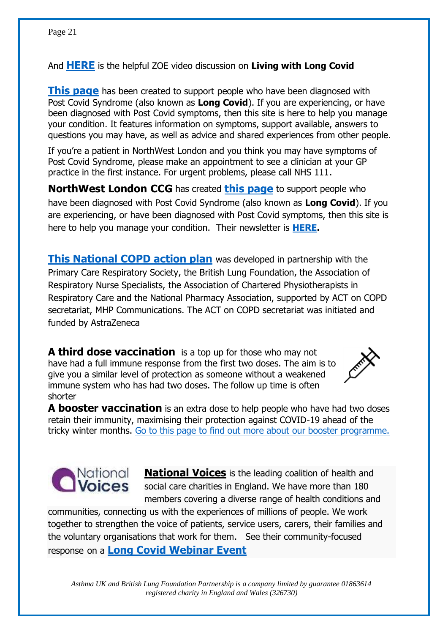And **[HERE](https://mailchi.mp/4dc8e1f6d56b/thanks-for-watching-covid-vaccines-4855390?e=863b631d55)** is the helpful ZOE video discussion on **Living with Long Covid**

**[This page](http://www.nwlondonccg.nhs.uk/coronavirus/post-covid.)** has been created to support people who have been diagnosed with Post Covid Syndrome (also known as **Long Covid**). If you are experiencing, or have been diagnosed with Post Covid symptoms, then this site is here to help you manage your condition. It features information on symptoms, support available, answers to questions you may have, as well as advice and shared experiences from other people.

If you're a patient in NorthWest London and you think you may have symptoms of Post Covid Syndrome, please make an appointment to see a clinician at your GP practice in the first instance. For urgent problems, please call NHS 111.

**NorthWest London CCG** has created **[this page](https://www.nwlondonccg.nhs.uk/coronavirus/post-covid?utm_source=facebook+1)** to support people who have been diagnosed with Post Covid Syndrome (also known as **Long Covid**). If you are experiencing, or have been diagnosed with Post Covid symptoms, then this site is here to help you manage your condition. Their newsletter is **[HERE.](https://www.nwlondonccg.nhs.uk/news-publications-events/news)**

**[This National COPD action plan](CERTIFIED-National-COPD-Policy-Action-Plan.pdf%20(npa.co.uk))** was developed in partnership with the Primary Care Respiratory Society, the British Lung Foundation, the Association of Respiratory Nurse Specialists, the Association of Chartered Physiotherapists in Respiratory Care and the National Pharmacy Association, supported by ACT on COPD secretariat, MHP Communications. The ACT on COPD secretariat was initiated and funded by AstraZeneca

**A third dose vaccination** is a top up for those who may not have had a full immune response from the first two doses. The aim is to give you a similar level of protection as someone without a weakened immune system who has had two doses. The follow up time is often shorter



**A booster vaccination** is an extra dose to help people who have had two doses retain their immunity, maximising their protection against COVID-19 ahead of the tricky winter months. [Go to this page to find out more about our booster programme.](https://sbuhb.nhs.wales/go/booster-programme/)



**[National Voices](https://www.nationalvoices.org.uk/about-us)** is the leading coalition of health and social care charities in England. We have more than 180 members covering a diverse range of health conditions and

communities, connecting us with the experiences of millions of people. We work together to strengthen the voice of patients, service users, carers, their families and the voluntary organisations that work for them. See their community-focused response on a **[Long Covid Webinar Event](https://www.youtube.com/watch?v=Xn554UsrDyY)**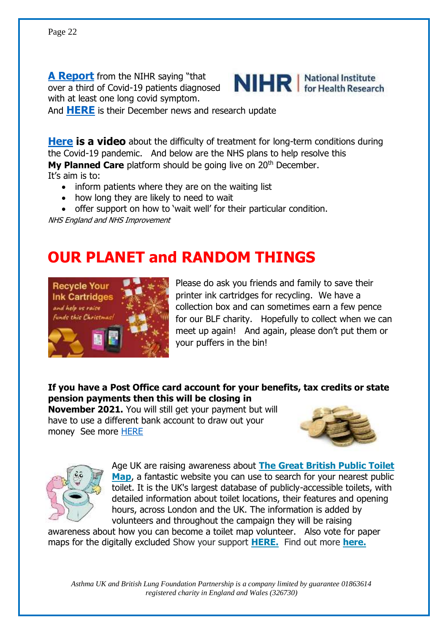**[A Report](News:%20Over%20a%20third%20of%20COVID-19%20patients%20diagnosed%20with%20at%20least%20one%20long%20COVID%20symptom%20|%20NIHR)** from the NIHR saying "that over a third of Covid-19 patients diagnosed with at least one long covid symptom.



And **[HERE](https://mailchi.mp/ee220f6649d3/nihr-arc-west-newsletter-december?e=f0aaae7f7a)** is their December news and research update

**[Here](https://sg-project-assets.s3.eu-west-2.amazonaws.com/10461/videos/AbbVie+-+The+impact+of+Covid+on+Long-Term+Conditions.mp4) is a video** about the difficulty of treatment for long-term conditions during the Covid-19 pandemic. And below are the NHS plans to help resolve this **My Planned Care** platform should be going live on 20<sup>th</sup> December.

It's aim is to:

- inform patients where they are on the waiting list
- how long they are likely to need to wait
- offer support on how to 'wait well' for their particular condition.

NHS England and NHS Improvement

# **OUR PLANET and RANDOM THINGS**



Please do ask you friends and family to save their printer ink cartridges for recycling. We have a collection box and can sometimes earn a few pence for our BLF charity. Hopefully to collect when we can meet up again! And again, please don't put them or your puffers in the bin!

**If you have a Post Office card account for your benefits, tax credits or state pension payments then this will be closing in** 

**November 2021.** You will still get your payment but will have to use a different bank account to draw out your money See more **HERE** 





Age UK are raising awareness about **[The Great British Public Toilet](https://technology-trust-news.org/47X-7MD31-U2XWMS-4MIUCG-1/c.aspx)  [Map](https://technology-trust-news.org/47X-7MD31-U2XWMS-4MIUCG-1/c.aspx)**, a fantastic website you can use to search for your nearest public toilet. It is the UK's largest database of publicly-accessible toilets, with detailed information about toilet locations, their features and opening hours, across London and the UK. The information is added by volunteers and throughout the campaign they will be raising

awareness about how you can become a toilet map volunteer. Also vote for paper maps for the digitally excluded Show your support **[HERE.](https://technology-trust-news.org/47X-7MD31-U2XWMS-4MLIYT-1/c.aspx)** Find out more **[here.](https://technology-trust-news.org/47X-7MD31-U2XWMS-4MLKPV-1/c.aspx)**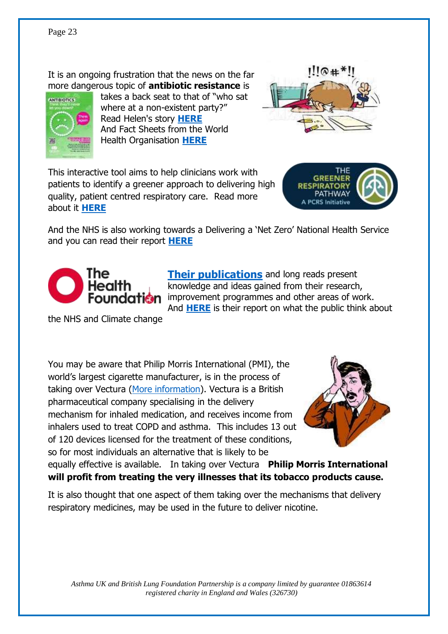It is an ongoing frustration that the news on the far more dangerous topic of **antibiotic resistance** is



takes a back seat to that of "who sat where at a non-existent party?" Read Helen's story **[HERE](https://youtu.be/Nd53xd6acmQ)** And Fact Sheets from the World Health Organisation **[HERE](https://www.who.int/news-room/fact-sheets/detail/antimicrobial-resistance)**



This interactive tool aims to help clinicians work with patients to identify a greener approach to delivering high quality, patient centred respiratory care. Read more about it **[HERE](The%20Greener%20Respiratory%20Pathway:%20A%20PCRS%20Initiative%20|%20Primary%20Care%20Respiratory%20Society%20(pcrs-uk.org))**



And the NHS is also working towards a Delivering a 'Net Zero' National Health Service and you can read their report **[HERE](https://www.england.nhs.uk/greenernhs/wp-content/uploads/sites/51/2020/10/delivering-a-net-zero-national-health-service.pdf)**



**[Their publications](http://www.health.org.uk/publications)** and long reads present knowledge and ideas gained from their research, **undation** improvement programmes and other areas of work. And **[HERE](Going%20green:%20what%20do%20the%20public%20think%20about%20the%20NHS%20and%20climate%20change?%20-%20The%20Health%20Foundation)** is their report on what the public think about

the NHS and Climate change

You may be aware that Philip Morris International (PMI), the world's largest cigarette manufacturer, is in the process of taking over Vectura [\(More information\)](https://www.pcrs-uk.org/civicrm/mailing/url?u=30678&qid=2284697). Vectura is a British pharmaceutical company specialising in the delivery mechanism for inhaled medication, and receives income from inhalers used to treat COPD and asthma. This includes 13 out of 120 devices licensed for the treatment of these conditions, so for most individuals an alternative that is likely to be



equally effective is available. In taking over Vectura **Philip Morris International will profit from treating the very illnesses that its tobacco products cause.**

It is also thought that one aspect of them taking over the mechanisms that delivery respiratory medicines, may be used in the future to deliver nicotine.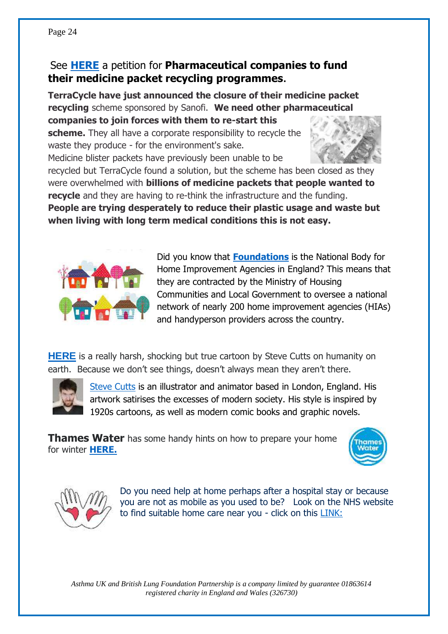### See **[HERE](https://chng.it/MFVjQrPjHT)** a petition for **Pharmaceutical companies to fund their medicine packet recycling programmes.**

**TerraCycle have just announced the closure of their medicine packet recycling** scheme sponsored by Sanofi. **We need other pharmaceutical companies to join forces with them to re-start this scheme.** They all have a corporate responsibility to recycle the

waste they produce - for the environment's sake.

Medicine blister packets have previously been unable to be



recycled but TerraCycle found a solution, but the scheme has been closed as they were overwhelmed with **billions of medicine packets that people wanted to recycle** and they are having to re-think the infrastructure and the funding. **People are trying desperately to reduce their plastic usage and waste but when living with long term medical conditions this is not easy.** 



Did you know that **[Foundations](https://www.foundations.uk.com/)** is the National Body for Home Improvement Agencies in England? This means that they are contracted by the Ministry of Housing Communities and Local Government to oversee a national network of nearly 200 home improvement agencies (HIAs) and handyperson providers across the country.

**[HERE](https://www.youtube.com/embed/WfGMYdalClU)** is a really harsh, shocking but true cartoon by Steve Cutts on humanity on earth. Because we don't see things, doesn't always mean they aren't there.



[Steve Cutts](https://www.google.com/search?q=steve+cutts+animation&client=firefox-b-d&sxsrf=AOaemvLUXeibO53F8pgwmLp42AWXKCPgxQ:1639844687440&tbm=isch&source=iu&ictx=1&fir=_mOY-MydBgmtDM%252C_q4ZT6Msqc7sAM%252C%252Fg%252F11bw7s1r5s%253BvCe-3f05Kh7U3M%252Cq0282R6EqwSjFM%252C_%253BHhOXI117i7Fe-M%252Ctz3304wlFH3ZtM%252C_%253BSfSHDxhqpH1z7M%252Ctz3304wlFH3ZtM%252C_%253ByUKncGeI6JXgLM%252Ctz3304wlFH3ZtM%252C_&vet=1&usg=AI4_-kQpf8YPZ5ZXyYTX13PyB-4-x9LJ3g&sa=X&ved=2ahUKEwjPk9PA4e30AhWcQUEAHV-6CqcQ_B16BAgxEAE#imgrc=_mOY-MydBgmtDM) is an illustrator and animator based in London, England. His artwork satirises the excesses of modern society. His style is inspired by 1920s cartoons, as well as modern comic books and graphic novels.

**Thames Water** has some handy hints on how to prepare your home for winter **[HERE.](https://www.thameswater.co.uk/help/home-improvements/prepare-your-home-for-winter)**





Do you need help at home perhaps after a hospital stay or because you are not as mobile as you used to be? Look on the NHS website to find suitable home care near you - click on this [LINK:](https://www.nhs.uk/conditions/social-care-and-support-guide/care-services-equipment-and-care-homes/national-homecare-providers/)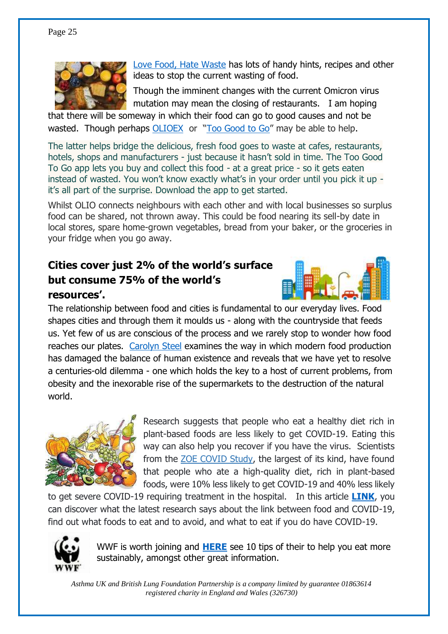

[Love Food, Hate Waste](Love%20Food%20Hate%20Waste) has lots of handy hints, recipes and other ideas to stop the current wasting of food.

Though the imminent changes with the current Omicron virus mutation may mean the closing of restaurants. I am hoping

that there will be someway in which their food can go to good causes and not be wasted. Though perhaps [OLIOEX](https://olioex.com/) or "[Too Good to Go](https://toogoodtogo.co.uk/en-gb)" may be able to help.

The latter helps bridge the delicious, fresh food goes to waste at cafes, restaurants, hotels, shops and manufacturers - just because it hasn't sold in time. The Too Good To Go app lets you buy and collect this food - at a great price - so it gets eaten instead of wasted. You won't know exactly what's in your order until you pick it up it's all part of the surprise. Download the app to get started.

Whilst OLIO connects neighbours with each other and with local businesses so surplus food can be shared, not thrown away. This could be food nearing its sell-by date in local stores, spare home-grown vegetables, bread from your baker, or the groceries in your fridge when you go away.

### **Cities cover just 2% of the world's surface but consume 75% of the world's resources'.**



The relationship between food and cities is fundamental to our everyday lives. Food shapes cities and through them it moulds us - along with the countryside that feeds us. Yet few of us are conscious of the process and we rarely stop to wonder how food reaches our plates. [Carolyn Steel](https://www.carolynsteel.com/) examines the way in which modern food production has damaged the balance of human existence and reveals that we have yet to resolve a centuries-old dilemma - one which holds the key to a host of current problems, from obesity and the inexorable rise of the supermarkets to the destruction of the natural world.



Research suggests that people who eat a healthy diet rich in plant-based foods are less likely to get COVID-19. Eating this way can also help you recover if you have the virus. Scientists from the [ZOE COVID Study,](https://covid.joinzoe.com/) the largest of its kind, have found that people who ate a high-quality diet, rich in plant-based foods, were 10% less likely to get COVID-19 and 40% less likely

to get severe COVID-19 requiring treatment in the hospital. In this article **[LINK](What%20Foods%20Should%20I%20Eat%20To%20Fight%20COVID?%20(joinzoe.com))**, you can discover what the latest research says about the link between food and COVID-19, find out what foods to eat and to avoid, and what to eat if you do have COVID-19.



WWF is worth joining and **[HERE](https://www.wwf.org.uk/what-can-i-do/10-tips-help-you-eat-more-sustainably)** see 10 tips of their to help you eat more sustainably, amongst other great information.